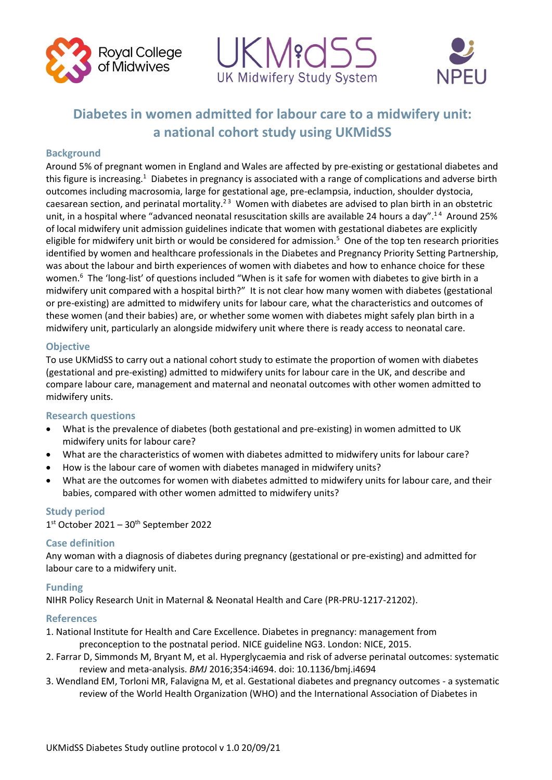





# **Diabetes in women admitted for labour care to a midwifery unit: a national cohort study using UKMidSS**

# **Background**

Around 5% of pregnant women in England and Wales are affected by pre-existing or gestational diabetes and this figure is increasing.<sup>1</sup> Diabetes in pregnancy is associated with a range of complications and adverse birth outcomes including macrosomia, large for gestational age, pre-eclampsia, induction, shoulder dystocia, caesarean section, and perinatal mortality.<sup>23</sup> Women with diabetes are advised to plan birth in an obstetric unit, in a hospital where "advanced neonatal resuscitation skills are available 24 hours a day".<sup>14</sup> Around 25% of local midwifery unit admission guidelines indicate that women with gestational diabetes are explicitly eligible for midwifery unit birth or would be considered for admission.<sup>5</sup> One of the top ten research priorities identified by women and healthcare professionals in the Diabetes and Pregnancy Priority Setting Partnership, was about the labour and birth experiences of women with diabetes and how to enhance choice for these women.<sup>6</sup> The 'long-list' of questions included "When is it safe for women with diabetes to give birth in a midwifery unit compared with a hospital birth?" It is not clear how many women with diabetes (gestational or pre-existing) are admitted to midwifery units for labour care, what the characteristics and outcomes of these women (and their babies) are, or whether some women with diabetes might safely plan birth in a midwifery unit, particularly an alongside midwifery unit where there is ready access to neonatal care.

# **Objective**

To use UKMidSS to carry out a national cohort study to estimate the proportion of women with diabetes (gestational and pre-existing) admitted to midwifery units for labour care in the UK, and describe and compare labour care, management and maternal and neonatal outcomes with other women admitted to midwifery units.

# **Research questions**

- What is the prevalence of diabetes (both gestational and pre-existing) in women admitted to UK midwifery units for labour care?
- What are the characteristics of women with diabetes admitted to midwifery units for labour care?
- How is the labour care of women with diabetes managed in midwifery units?
- What are the outcomes for women with diabetes admitted to midwifery units for labour care, and their babies, compared with other women admitted to midwifery units?

### **Study period**

1st October 2021 – 30<sup>th</sup> September 2022

### **Case definition**

Any woman with a diagnosis of diabetes during pregnancy (gestational or pre-existing) and admitted for labour care to a midwifery unit.

### **Funding**

NIHR Policy Research Unit in Maternal & Neonatal Health and Care (PR-PRU-1217-21202).

### **References**

- 1. National Institute for Health and Care Excellence. Diabetes in pregnancy: management from preconception to the postnatal period. NICE guideline NG3. London: NICE, 2015.
- 2. Farrar D, Simmonds M, Bryant M, et al. Hyperglycaemia and risk of adverse perinatal outcomes: systematic review and meta-analysis. *BMJ* 2016;354:i4694. doi: 10.1136/bmj.i4694
- 3. Wendland EM, Torloni MR, Falavigna M, et al. Gestational diabetes and pregnancy outcomes a systematic review of the World Health Organization (WHO) and the International Association of Diabetes in